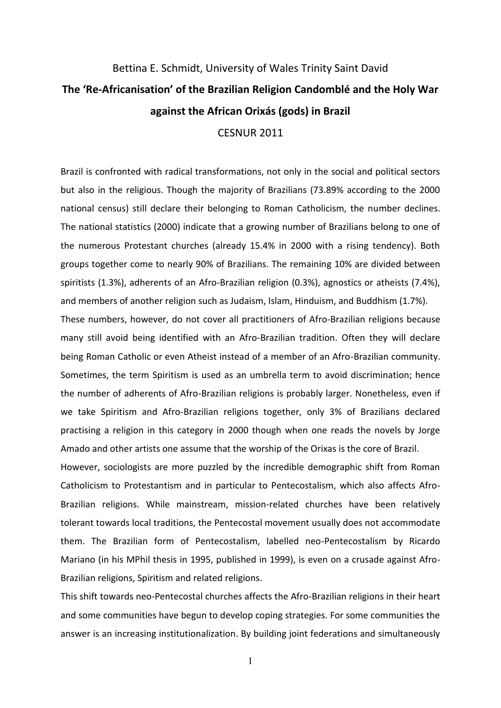## Bettina E. Schmidt, University of Wales Trinity Saint David **The 'Re-Africanisation' of the Brazilian Religion Candomblé and the Holy War against the African Orixás (gods) in Brazil CESNUR 2011**

Brazil is confronted with radical transformations, not only in the social and political sectors but also in the religious. Though the majority of Brazilians (73.89% according to the 2000 national census) still declare their belonging to Roman Catholicism, the number declines. The national statistics (2000) indicate that a growing number of Brazilians belong to one of the numerous Protestant churches (already 15.4% in 2000 with a rising tendency). Both groups together come to nearly 90% of Brazilians. The remaining 10% are divided between spiritists (1.3%), adherents of an Afro-Brazilian religion (0.3%), agnostics or atheists (7.4%), and members of another religion such as Judaism, Islam, Hinduism, and Buddhism (1.7%).

These numbers, however, do not cover all practitioners of Afro-Brazilian religions because many still avoid being identified with an Afro-Brazilian tradition. Often they will declare being Roman Catholic or even Atheist instead of a member of an Afro-Brazilian community. Sometimes, the term Spiritism is used as an umbrella term to avoid discrimination; hence the number of adherents of Afro-Brazilian religions is probably larger. Nonetheless, even if we take Spiritism and Afro-Brazilian religions together, only 3% of Brazilians declared practising a religion in this category in 2000 though when one reads the novels by Jorge Amado and other artists one assume that the worship of the Orixas is the core of Brazil.

However, sociologists are more puzzled by the incredible demographic shift from Roman' Catholicism to Protestantism and in particular to Pentecostalism, which also affects Afro-Brazilian religions. While mainstream, mission-related churches have been relatively tolerant towards local traditions, the Pentecostal movement usually does not accommodate them. The Brazilian form of Pentecostalism, labelled neo-Pentecostalism by Ricardo Mariano (in his MPhil thesis in 1995, published in 1999), is even on a crusade against Afro-Brazilian religions, Spiritism and related religions.

This shift towards neo-Pentecostal churches affects the Afro-Brazilian religions in their heart and'some communities have begun to develop coping strategies. For some communities the answer is an increasing institutionalization. By building joint federations and simultaneously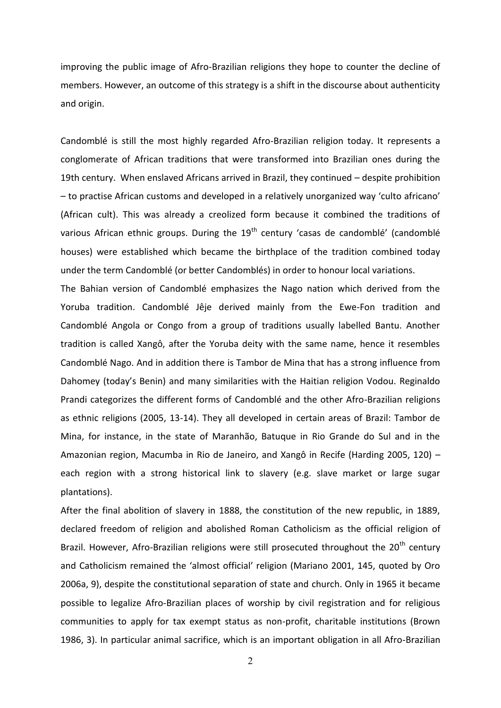improving the public image of Afro-Brazilian religions they hope to counter the decline of members. However, an outcome of this strategy is a shift in the discourse about authenticity and origin.

Candomblé is still the most highly regarded Afro-Brazilian religion today. It represents a conglomerate of African traditions that were transformed into Brazilian ones during the 19th century. When enslaved Africans arrived in Brazil, they continued – despite prohibition - to practise African customs and developed in a relatively unorganized way 'culto africano' (African cult). This was already a creolized form because it combined the traditions of various African ethnic groups. During the 19<sup>th</sup> century 'casas de candomblé' (candomblé houses) were established which became the birthplace of the tradition combined today under the term Candomblé (or better Candomblés) in order to honour local variations.

The Bahian version of Candomblé emphasizes the Nago nation which derived from the Yoruba tradition. Candomblé Jêje derived mainly from the Ewe-Fon tradition and Candomblé Angola or Congo from a group of traditions usually labelled Bantu. Another tradition is called Xangô, after the Yoruba deity with the same name, hence it resembles Candomblé Nago. And in addition there is Tambor de Mina that has a strong influence from Dahomey (today's Benin) and many similarities with the Haitian religion Vodou. Reginaldo Prandi categorizes the different forms of Candomblé and the other Afro-Brazilian religions as ethnic religions (2005, 13-14). They all developed in certain areas of Brazil: Tambor de Mina, for instance, in the state of Maranhão, Batuque in Rio Grande do Sul and in the Amazonian region, Macumba in Rio de Janeiro, and Xangô in Recife (Harding 2005, 120) – each region with a strong historical link to slavery (e.g. slave market or large sugar plantations).

After the final abolition of slavery in 1888, the constitution of the new republic, in 1889, declared freedom of religion and abolished Roman Catholicism as the official religion of Brazil. However, Afro-Brazilian religions were still prosecuted throughout the 20<sup>th</sup> century and Catholicism remained the 'almost official' religion (Mariano 2001, 145, quoted by Oro 2006a, 9), despite the constitutional separation of state and church. Only in 1965 it became possible to legalize Afro-Brazilian places of worship by civil registration and for religious communities to apply for tax exempt status as non-profit, charitable institutions (Brown' 1986, 3). In particular animal sacrifice, which is an important obligation in all Afro-Brazilian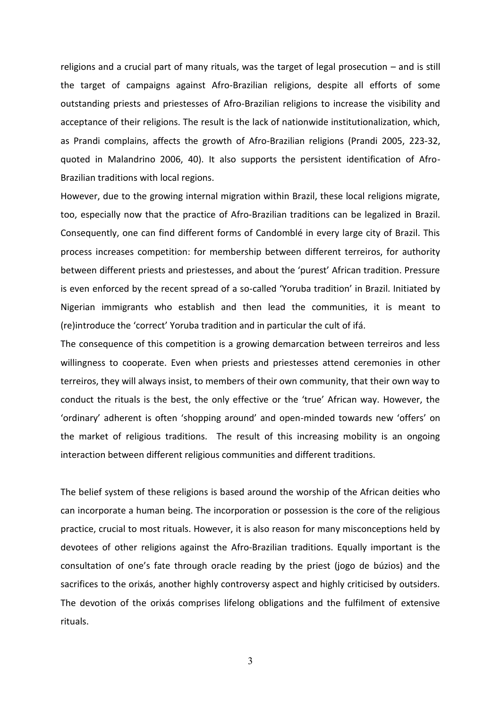religions and a crucial part of many rituals, was the target of legal prosecution – and is still the target of campaigns against Afro-Brazilian religions, despite all efforts of some outstanding priests and priestesses of Afro-Brazilian religions to increase the visibility and acceptance of their religions. The result is the lack of nationwide institutionalization, which, as Prandi complains, affects the growth of Afro-Brazilian religions (Prandi 2005, 223-32, quoted in Malandrino 2006, 40). It also supports the persistent identification of Afro-Brazilian traditions with local regions.

However, due to the growing internal migration within Brazil, these local religions migrate, too, especially now that the practice of Afro-Brazilian traditions can be legalized in Brazil. Consequently, one can find different forms of Candomblé in every large city of Brazil. This process increases competition: for membership between different terreiros, for authority between different priests and priestesses, and about the 'purest' African tradition. Pressure is even enforced by the recent spread of a so-called 'Yoruba tradition' in Brazil. Initiated by Nigerian immigrants who establish and then lead the communities, it is meant to (re) introduce the 'correct' Yoruba tradition and in particular the cult of ifá.

The consequence of this competition is a growing demarcation between terreiros and less willingness to cooperate. Even when priests and priestesses attend ceremonies in other terreiros, they will always insist, to members of their own community, that their own way to conduct the rituals is the best, the only effective or the 'true' African way. However, the 'ordinary' adherent is often 'shopping around' and open-minded towards new 'offers' on the market of religious traditions. The result of this increasing mobility is an ongoing interaction between different religious communities and different traditions.

The belief system of these religions is based around the worship of the African deities who can incorporate a human being. The incorporation or possession is the core of the religious practice, crucial to most rituals. However, it is also reason for many misconceptions held by devotees of other religions against the Afro-Brazilian traditions. Equally important is the consultation of one's fate through oracle reading by the priest (jogo de búzios) and the sacrifices to the orixás, another highly controversy aspect and highly criticised by outsiders. The devotion of the orixás comprises lifelong obligations and the fulfilment of extensive rituals.'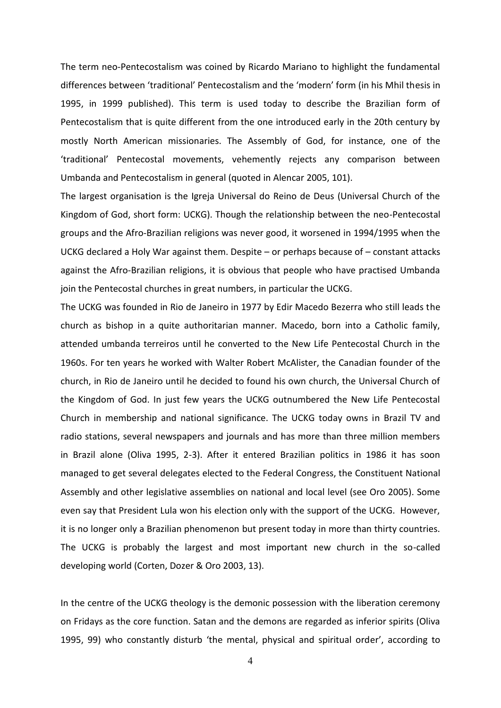The term neo-Pentecostalism was coined by Ricardo Mariano to highlight the fundamental differences between 'traditional' Pentecostalism and the 'modern' form (in his Mhil thesis in 1995, in 1999 published). This term is used today to describe the Brazilian form of Pentecostalism that is quite different from the one introduced early in the 20th century by mostly North American missionaries. The Assembly of God, for instance, one of the 'traditional' Pentecostal movements, vehemently rejects any comparison between Umbanda and Pentecostalism in general (quoted in Alencar 2005, 101).

The largest organisation is the Igreja Universal do Reino de Deus (Universal Church of the Kingdom of God, short form: UCKG). Though the relationship between the neo-Pentecostal groups and the Afro-Brazilian religions was never good, it worsened in 1994/1995 when the UCKG declared a Holy War against them. Despite - or perhaps because of - constant attacks against the Afro-Brazilian religions, it is obvious that people who have practised Umbanda join the Pentecostal churches in great numbers, in particular the UCKG.

The UCKG was founded in Rio de Janeiro in 1977 by Edir Macedo Bezerra who still leads the church' as bishop in a quite authoritarian' manner. Macedo, born into a Catholic family, attended umbanda terreiros until he converted to the New Life Pentecostal Church in the 1960s. For ten years he worked with Walter Robert McAlister, the Canadian founder of the church, in Rio de Janeiro until he decided to found his own church, the Universal Church of the Kingdom of God. In just few years the UCKG outnumbered the New Life Pentecostal Church in membership and national significance. The UCKG today owns in Brazil TV and radio stations, several newspapers and journals and has more than three million members in Brazil alone (Oliva 1995, 2-3). After it entered Brazilian politics in 1986 it has soon managed to get several delegates elected to the Federal Congress, the Constituent National Assembly and other legislative assemblies on national and local level (see Oro 2005). Some even'say that President Lula won his election only with the support of the UCKG. However, it is no longer only a Brazilian phenomenon but present today in more than thirty countries. The UCKG is probably the largest and most important new church in the so-called developing world (Corten, Dozer & Oro 2003, 13).

In the centre of the UCKG theology is the demonic possession with the liberation ceremony on'Fridays as the core function. Satan and the demons are regarded as inferior spirits (Oliva) 1995, 99) who constantly disturb 'the mental, physical and spiritual order', according to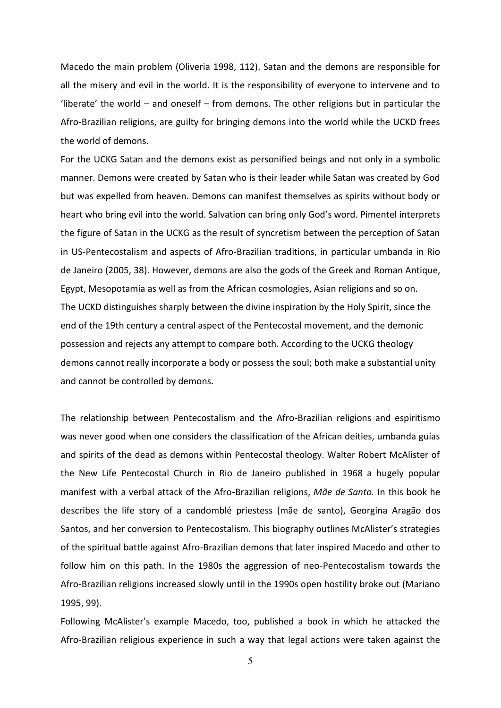Macedo the main problem (Oliveria 1998, 112). Satan and the demons are responsible for all the misery and evil in the world. It is the responsibility of everyone to intervene and to 'liberate' the world – and oneself – from demons. The other religions but in particular the Afro-Brazilian religions, are guilty for bringing demons into the world while the UCKD frees the world of demons.

For the UCKG Satan and the demons exist as personified beings and not only in a symbolic manner. Demons were created by Satan who is their leader while Satan was created by God but was expelled from heaven. Demons can manifest themselves as spirits without body or heart who bring evil into the world. Salvation can bring only God's word. Pimentel interprets the figure of Satan in the UCKG as the result of syncretism between the perception of Satan in'US-Pentecostalism'and'aspects of Afro-Brazilian traditions, in particular umbanda in Rio de Janeiro (2005, 38). However, demons are also the gods of the Greek and Roman Antique, Egypt, Mesopotamia as well as from the African cosmologies, Asian religions and so on. The UCKD distinguishes sharply between the divine inspiration by the Holy Spirit, since the end of the 19th century a central aspect of the Pentecostal movement, and the demonic possession and rejects any attempt to compare both. According to the UCKG theology demons cannot really incorporate a body or possess the soul; both make a substantial unity and cannot be controlled by demons.

The relationship between Pentecostalism and the Afro-Brazilian religions and espiritismo was never good when one considers the classification of the African deities, umbanda guías and spirits of the dead as demons within Pentecostal theology. Walter Robert McAlister of the New Life Pentecostal Church in Rio de Janeiro published in 1968 a hugely popular manifest with a verbal attack of the Afro-Brazilian religions, Mãe de Santo. In this book he describes the life story of a candomblé priestess (mãe de santo), Georgina Aragão dos Santos, and her conversion to Pentecostalism. This biography outlines McAlister's strategies of the spiritual battle against Afro-Brazilian demons that later inspired Macedo and other to follow him on this path. In the 1980s the aggression of neo-Pentecostalism towards the Afro-Brazilian religions increased slowly until in the 1990s open hostility broke out (Mariano' 1995, 99).

Following McAlister's example Macedo, too, published a book in which he attacked the Afro-Brazilian religious experience in such a way that legal actions were taken against the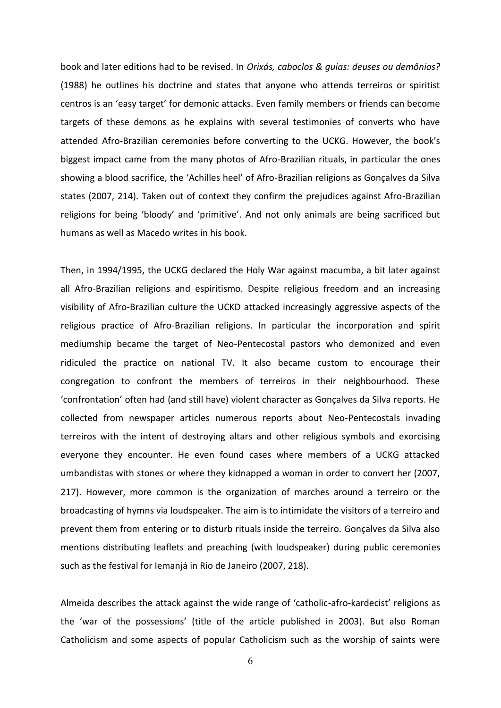book and later editions had to be revised. In *Orixás, caboclos & quías: deuses ou demônios?* (1988) he outlines his doctrine and states that anyone who attends terreiros or spiritist centros is an 'easy target' for demonic attacks. Even family members or friends can become targets of these demons as he explains with several testimonies of converts who have attended Afro-Brazilian ceremonies before converting to the UCKG. However, the book's biggest impact came from the many photos of Afro-Brazilian rituals, in particular the ones showing a blood sacrifice, the 'Achilles heel' of Afro-Brazilian religions as Gonçalves da Silva states (2007, 214). Taken out of context they confirm the prejudices against Afro-Brazilian religions for being 'bloody' and 'primitive'. And not only animals are being sacrificed but humans as well as Macedo writes in his book.

Then, in 1994/1995, the UCKG declared the Holy War against macumba, a bit later against all Afro-Brazilian religions and espiritismo. Despite religious freedom and an increasing visibility of Afro-Brazilian culture the UCKD attacked increasingly aggressive aspects of the religious practice of Afro-Brazilian religions. In particular the incorporation and spirit mediumship became the target of Neo-Pentecostal pastors who demonized and even ridiculed the practice on national TV. It also became custom to encourage their congregation to confront the members of terreiros in their neighbourhood. These 'confrontation' often had (and still have) violent character as Gonçalves da Silva reports. He collected from newspaper articles numerous reports about Neo-Pentecostals invading terreiros with the intent of destroying altars and other religious symbols and exorcising everyone they encounter. He even found cases where members of a UCKG attacked umbandistas with stones or where they kidnapped a woman in order to convert her (2007, 217). However, more common is the organization of marches around a terreiro or the broadcasting of hymns via loudspeaker. The aim is to intimidate the visitors of a terreiro and prevent them from entering or to disturb rituals inside the terreiro. Goncalves da Silva also mentions distributing leaflets and preaching (with loudspeaker) during public ceremonies such as the festival for Iemanjá in Rio de Janeiro (2007, 218).

Almeida describes the attack against the wide range of 'catholic-afro-kardecist' religions as the 'war of the possessions' (title of the article published in 2003). But also Roman Catholicism and some aspects of popular Catholicism such as the worship of saints were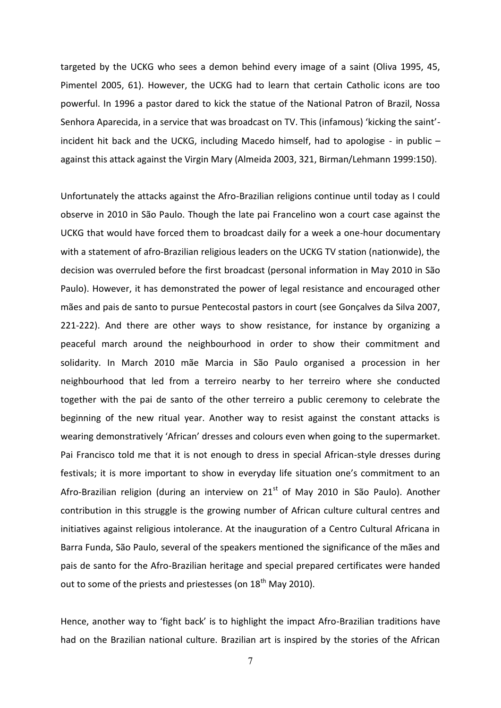targeted by the UCKG who sees a demon behind every image of a saint (Oliva 1995, 45, Pimentel 2005, 61). However, the UCKG had to learn that certain Catholic icons are too powerful. In 1996 a pastor dared to kick the statue of the National Patron of Brazil, Nossa Senhora Aparecida, in a service that was broadcast on TV. This (infamous) 'kicking the saint'incident hit back and the UCKG, including Macedo himself, had to apologise - in public  $$ against this attack against the Virgin Mary (Almeida 2003, 321, Birman/Lehmann 1999:150).

Unfortunately the attacks against the Afro-Brazilian religions continue until today as I could observe in 2010 in São Paulo. Though the late pai Francelino won a court case against the UCKG that would have forced them to broadcast daily for a week a one-hour documentary with a statement of afro-Brazilian religious leaders on the UCKG TV station (nationwide), the decision was overruled before the first broadcast (personal information in May 2010 in São Paulo). However, it has demonstrated the power of legal resistance and encouraged other mães and pais de santo to pursue Pentecostal pastors in court (see Gonçalves da Silva 2007, 221-222). And there are other ways to show resistance, for instance by organizing a peaceful march around the neighbourhood in order to show their commitment and solidarity. In March 2010 mãe Marcia in São Paulo organised a procession in her neighbourhood that led from a terreiro nearby to her terreiro where she conducted together with the pai de santo of the other terreiro a public ceremony to celebrate the beginning of the new ritual year. Another way to resist against the constant attacks is wearing demonstratively 'African' dresses and colours even when going to the supermarket. Pai Francisco told me that it is not enough to dress in special African-style dresses during festivals; it is more important to show in everyday life situation one's commitment to an Afro-Brazilian religion (during an interview on  $21<sup>st</sup>$  of May 2010 in São Paulo). Another contribution in this struggle is the growing number of African culture cultural centres and initiatives against religious intolerance. At the inauguration of a Centro Cultural Africana in Barra Funda, São Paulo, several of the speakers mentioned the significance of the mães and pais'de santo for the Afro-Brazilian' heritage and special prepared certificates were handed out to some of the priests and priestesses (on 18<sup>th</sup> May 2010).

Hence, another way to 'fight back' is to highlight the impact Afro-Brazilian traditions have had on the Brazilian national culture. Brazilian art is inspired by the stories of the African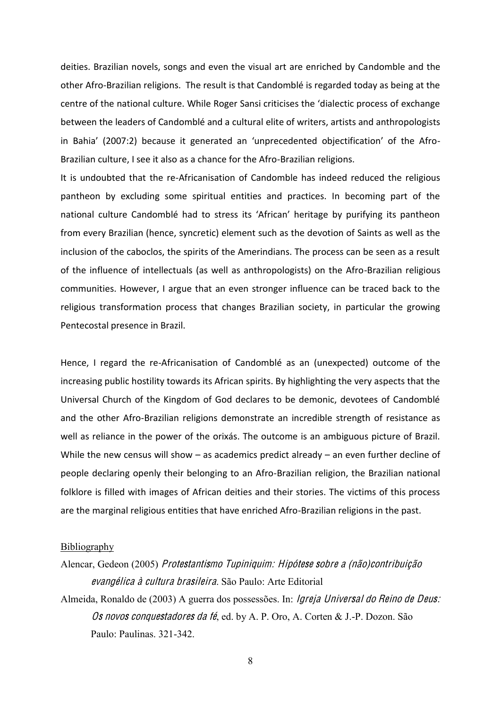deities. Brazilian novels, songs and even the visual art are enriched by Candomble and the other Afro-Brazilian religions. The result is that Candomblé is regarded today as being at the centre of the national culture. While Roger Sansi criticises the 'dialectic process of exchange between the leaders of Candomblé and a cultural elite of writers, artists and anthropologists in Bahia' (2007:2) because it generated an 'unprecedented objectification' of the Afro-Brazilian culture, I see it also as a chance for the Afro-Brazilian religions.

It is undoubted that the re-Africanisation of Candomble has indeed reduced the religious pantheon by excluding some spiritual entities and practices. In becoming part of the national culture Candomblé had to stress its 'African' heritage by purifying its pantheon from every Brazilian (hence, syncretic) element such as the devotion of Saints as well as the inclusion of the caboclos, the spirits of the Amerindians. The process can be seen as a result of the influence of intellectuals (as well as anthropologists) on the Afro-Brazilian religious communities. However, I argue that an even stronger influence can be traced back to the religious transformation process that changes Brazilian society, in particular the growing Pentecostal presence in Brazil.

Hence, I regard the re-Africanisation of Candomblé as an (unexpected) outcome of the increasing public hostility towards its African spirits. By highlighting the very aspects that the Universal Church of the Kingdom of God declares to be demonic, devotees of Candomblé and the other Afro-Brazilian religions demonstrate an incredible strength of resistance as well as reliance in the power of the orixás. The outcome is an ambiguous picture of Brazil. While the new census will show  $-$  as academics predict already  $-$  an even further decline of people declaring openly their belonging to an Afro-Brazilian religion, the Brazilian national folklore is filled with images of African deities and their stories. The victims of this process are the marginal religious entities that have enriched Afro-Brazilian religions in the past.

## Bibliography

- Alencar, Gedeon (2005) Protestantismo Tupiniquim: Hipótes<sup>e</sup> <sup>s</sup>obr<sup>e</sup> <sup>a</sup> (não)<sup>c</sup>ontribuição <sup>e</sup>vangélic<sup>a</sup> à <sup>c</sup>ultura brasileira. São Paulo: Arte Editorial
- Almeida, Ronaldo de (2003) A guerra dos possessões. In: Igreja Universal do Reino d<sup>e</sup> Deus: Os novos conquestadores da fé, ed. by A. P. Oro, A. Corten & J.-P. Dozon. São Paulo: Paulinas. 321-342.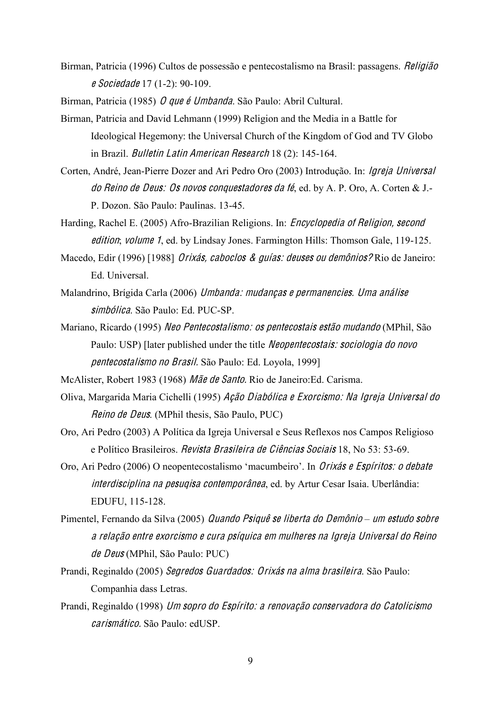Birman, Patricia (1996) Cultos de possessão e pentecostalismo na Brasil: passagens. *Religião* <sup>e</sup> Sociedad<sup>e</sup> 17 (1-2): 90-109.

Birman, Patricia (1985) O que é Umbanda. São Paulo: Abril Cultural.

- Birman, Patricia and David Lehmann (1999) Religion and the Media in a Battle for Ideological Hegemony: the Universal Church of the Kingdom of God and TV Globo in Brazil. Bulletin Latin American Research 18 (2): 145-164.
- Corten, André, Jean-Pierre Dozer and Ari Pedro Oro (2003) Introdução. In: Igreja Universal do Reino d<sup>e</sup> Deus: O<sup>s</sup> novo<sup>s</sup> <sup>c</sup>onquestadore<sup>s</sup> da fé, ed. by A. P. Oro, A. Corten & J.- P. Dozon. São Paulo: Paulinas. 13-45.
- Harding, Rachel E. (2005) Afro-Brazilian Religions. In: *Encyclopedia of Religion, second* edition; volume 1, ed. by Lindsay Jones. Farmington Hills: Thomson Gale, 119-125.
- Macedo, Edir (1996) [1988] *Orixás, caboclos & quías: deuses ou demônios?* Rio de Janeiro: Ed. Universal.
- Malandrino, Brígida Carla (2006) Umbanda: mudança<sup>s</sup> <sup>e</sup> permanencies. Uma anális<sup>e</sup> simbólica. São Paulo: Ed. PUC-SP.
- Mariano, Ricardo (1995) Ne<sup>o</sup> Pentecostalismo: <sup>o</sup><sup>s</sup> pentecostai<sup>s</sup> <sup>e</sup>stão mudando (MPhil, São Paulo: USP) [later published under the title *Neopentecostais: sociologia do novo* pentecostalismo no Brasil. São Paulo: Ed. Loyola, 1999]
- McAlister, Robert 1983 (1968) Mã<sup>e</sup> d<sup>e</sup> Santo. Rio de Janeiro:Ed. Carisma.
- Oliva, Margarida Maria Cichelli (1995) Ação Diabólic<sup>a</sup> <sup>e</sup> Exorcismo: Na Igreja Universal do Reino d<sup>e</sup> Deu<sup>s</sup>. (MPhil thesis, São Paulo, PUC)
- Oro, Ari Pedro (2003) A Política da Igreja Universal e Seus Reflexos nos Campos Religioso e Político Brasileiros. Revist<sup>a</sup> Brasileira d<sup>e</sup> Ciência<sup>s</sup> Sociai<sup>s</sup> 18, No 53: 53-69.
- Oro, Ari Pedro (2006) O neopentecostalismo 'macumbeiro'. In *Orixás e Espíritos: o debate* interdisciplina na pe<sup>s</sup>uqi<sup>s</sup><sup>a</sup> <sup>c</sup>ontemporân<sup>e</sup>a, ed. by Artur Cesar Isaia. Uberlândia: EDUFU, 115-128.
- Pimentel, Fernando da Silva (2005) Quando Psiquê se liberta do Demônio um estudo sobre <sup>a</sup> <sup>r</sup>elação <sup>e</sup>ntr<sup>e</sup> <sup>e</sup>xorcismo <sup>e</sup> <sup>c</sup>ura p<sup>s</sup>íqui<sup>c</sup><sup>a</sup> <sup>e</sup><sup>m</sup> mulhere<sup>s</sup> na Igreja Universal do Reino d<sup>e</sup> Deu<sup>s</sup> (MPhil, São Paulo: PUC)
- Prandi, Reginaldo (2005) Segredo<sup>s</sup> Guardados: Orixá<sup>s</sup> na alma brasileira. São Paulo: Companhia dass Letras.
- Prandi, Reginaldo (1998) Um <sup>s</sup>opro do Espírito: <sup>a</sup> <sup>r</sup>enovação <sup>c</sup>onservadora do Catolicismo <sup>c</sup>arismático. São Paulo: edUSP.